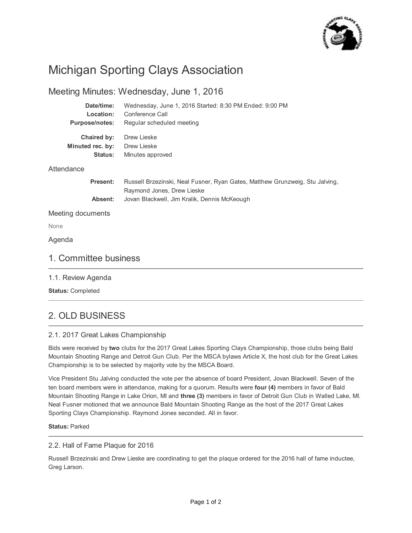

# Michigan Sporting Clays Association

### Meeting Minutes: Wednesday, June 1, 2016

| Date/time:            | Wednesday, June 1, 2016 Started: 8:30 PM Ended: 9:00 PM                                                    |
|-----------------------|------------------------------------------------------------------------------------------------------------|
| Location:             | Conference Call                                                                                            |
| <b>Purpose/notes:</b> | Regular scheduled meeting                                                                                  |
| Chaired by:           | Drew Lieske                                                                                                |
| Minuted rec. by:      | Drew Lieske                                                                                                |
| <b>Status:</b>        | Minutes approved                                                                                           |
| Attendance            |                                                                                                            |
| Present:              | Russell Brzezinski, Neal Fusner, Ryan Gates, Matthew Grunzweig, Stu Jalving,<br>Raymond Jones, Drew Lieske |
| Absent:               | Jovan Blackwell, Jim Kralik, Dennis McKeough                                                               |
| Meeting documents     |                                                                                                            |

None

Agenda

### 1. Committee business

1.1. Review Agenda

**Status:** Completed

# 2. OLD BUSINESS

### 2.1. 2017 Great Lakes Championship

Bids were received by **two** clubs for the 2017 Great Lakes Sporting Clays Championship, those clubs being Bald Mountain Shooting Range and Detroit Gun Club. Per the MSCA bylaws Article X, the host club for the Great Lakes Championship is to be selected by majority vote by the MSCA Board.

Vice President Stu Jalving conducted the vote per the absence of board President, Jovan Blackwell. Seven of the ten board members were in attendance, making for a quorum. Results were **four (4)** members in favor of Bald Mountain Shooting Range in Lake Orion, MI and **three (3)** members in favor of Detroit Gun Club in Walled Lake, MI. Neal Fusner motioned that we announce Bald Mountain Shooting Range as the host of the 2017 Great Lakes Sporting Clays Championship. Raymond Jones seconded. All in favor.

#### **Status:** Parked

#### 2.2. Hall of Fame Plaque for 2016

Russell Brzezinski and Drew Lieske are coordinating to get the plaque ordered for the 2016 hall of fame inductee, Greg Larson.